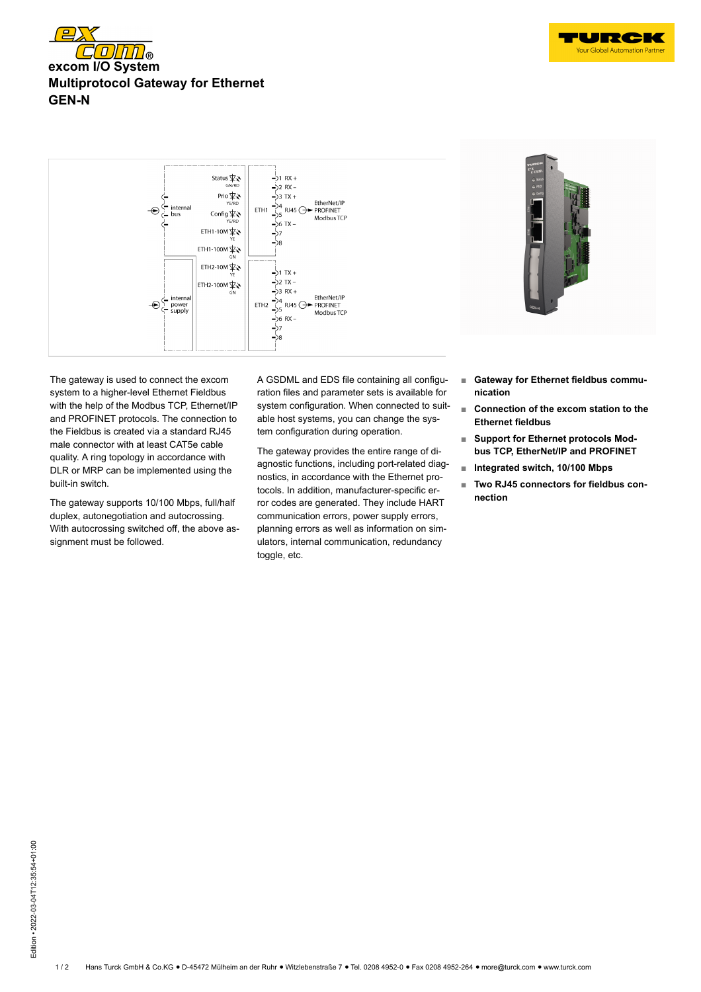





The gateway is used to connect the excom system to a higher-level Ethernet Fieldbus with the help of the Modbus TCP, Ethernet/IP and PROFINET protocols. The connection to the Fieldbus is created via a standard RJ45 male connector with at least CAT5e cable quality. A ring topology in accordance with DLR or MRP can be implemented using the built-in switch.

The gateway supports 10/100 Mbps, full/half duplex, autonegotiation and autocrossing. With autocrossing switched off, the above assignment must be followed.

A GSDML and EDS file containing all configuration files and parameter sets is available for system configuration. When connected to suitable host systems, you can change the system configuration during operation.

The gateway provides the entire range of diagnostic functions, including port-related diagnostics, in accordance with the Ethernet protocols. In addition, manufacturer-specific error codes are generated. They include HART communication errors, power supply errors, planning errors as well as information on simulators, internal communication, redundancy toggle, etc.



- **■ Gateway for Ethernet fieldbus communication**
- **■ Connection of the excom station to the Ethernet fieldbus**
- **Support for Ethernet protocols Modbus TCP, EtherNet/IP and PROFINET**
- **■ Integrated switch, 10/100 Mbps**
- **Two RJ45 connectors for fieldbus connection**